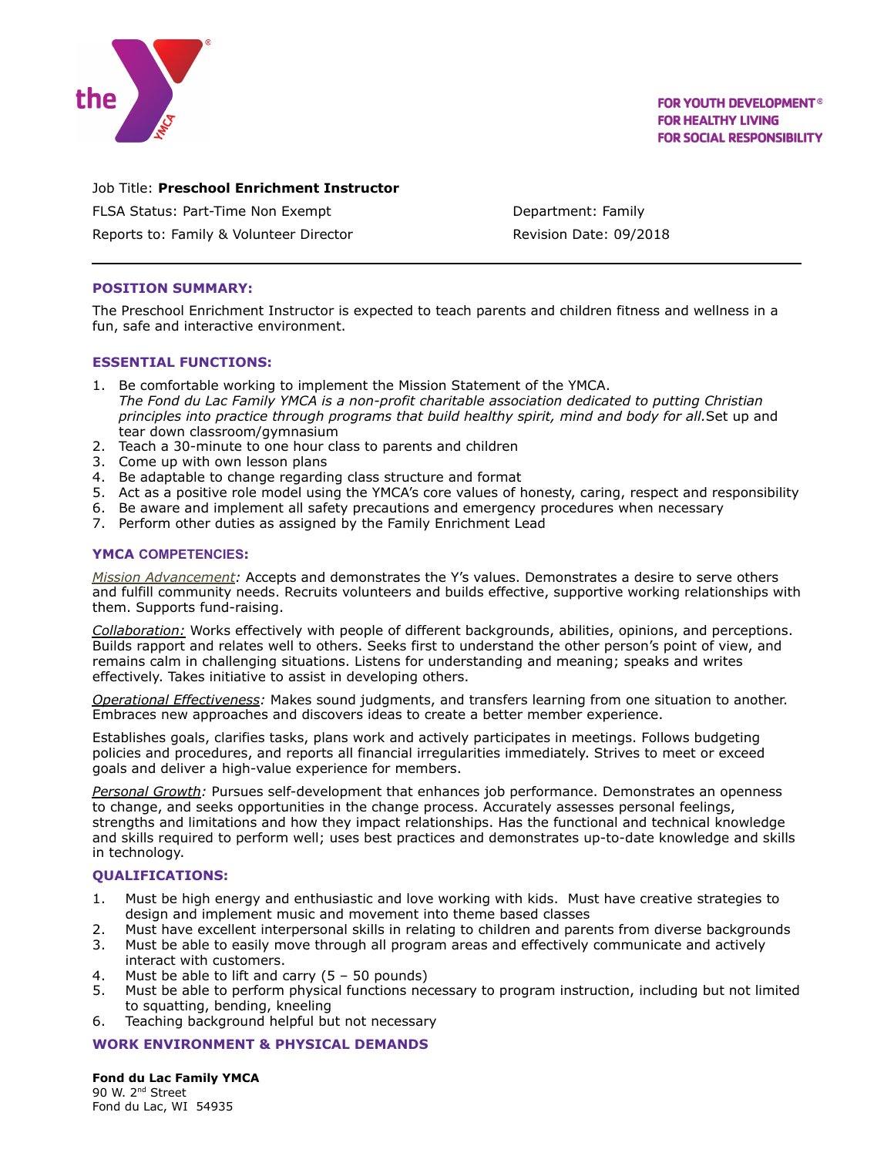

**FOR YOUTH DEVELOPMENT® FOR HEALTHY LIVING FOR SOCIAL RESPONSIBILITY** 

# Job Title: **Preschool Enrichment Instructor**

FLSA Status: Part-Time Non Exempt Contract Contract Department: Family

Reports to: Family & Volunteer Director **Revision Date: 09/2018** 

## **POSITION SUMMARY:**

The Preschool Enrichment Instructor is expected to teach parents and children fitness and wellness in a fun, safe and interactive environment.

#### **ESSENTIAL FUNCTIONS:**

- 1. Be comfortable working to implement the Mission Statement of the YMCA. *The Fond du Lac Family YMCA is a non-profit charitable association dedicated to putting Christian principles into practice through programs that build healthy spirit, mind and body for all.*Set up and tear down classroom/gymnasium
- 2. Teach a 30-minute to one hour class to parents and children
- 3. Come up with own lesson plans
- 4. Be adaptable to change regarding class structure and format
- 5. Act as a positive role model using the YMCA's core values of honesty, caring, respect and responsibility
- 6. Be aware and implement all safety precautions and emergency procedures when necessary
- 7. Perform other duties as assigned by the Family Enrichment Lead

### **YMCA COMPETENCIES:**

*Mission Advancement:* Accepts and demonstrates the Y's values. Demonstrates a desire to serve others and fulfill community needs. Recruits volunteers and builds effective, supportive working relationships with them. Supports fund-raising.

*Collaboration:* Works effectively with people of different backgrounds, abilities, opinions, and perceptions. Builds rapport and relates well to others. Seeks first to understand the other person's point of view, and remains calm in challenging situations. Listens for understanding and meaning; speaks and writes effectively. Takes initiative to assist in developing others.

*Operational Effectiveness:* Makes sound judgments, and transfers learning from one situation to another. Embraces new approaches and discovers ideas to create a better member experience.

Establishes goals, clarifies tasks, plans work and actively participates in meetings. Follows budgeting policies and procedures, and reports all financial irregularities immediately. Strives to meet or exceed goals and deliver a high-value experience for members.

*Personal Growth:* Pursues self-development that enhances job performance. Demonstrates an openness to change, and seeks opportunities in the change process. Accurately assesses personal feelings, strengths and limitations and how they impact relationships. Has the functional and technical knowledge and skills required to perform well; uses best practices and demonstrates up-to-date knowledge and skills in technology.

## **QUALIFICATIONS:**

- 1. Must be high energy and enthusiastic and love working with kids. Must have creative strategies to design and implement music and movement into theme based classes
- 2. Must have excellent interpersonal skills in relating to children and parents from diverse backgrounds
- 3. Must be able to easily move through all program areas and effectively communicate and actively interact with customers.
- 4. Must be able to lift and carry (5 50 pounds)
- 5. Must be able to perform physical functions necessary to program instruction, including but not limited to squatting, bending, kneeling
- 6. Teaching background helpful but not necessary

## **WORK ENVIRONMENT & PHYSICAL DEMANDS**

**Fond du Lac Family YMCA** 90 W. 2<sup>nd</sup> Street Fond du Lac, WI 54935